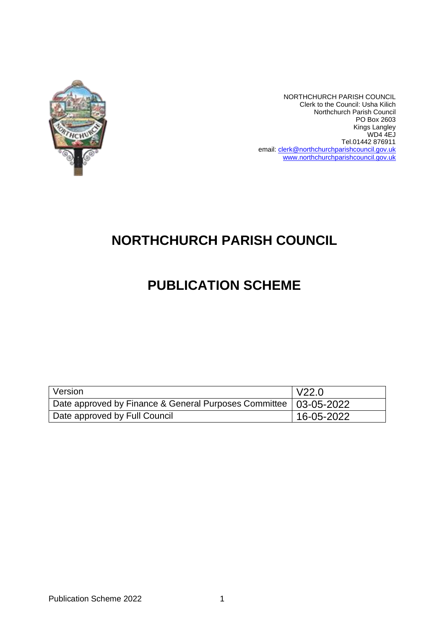

NORTHCHURCH PARISH COUNCIL Clerk to the Council: Usha Kilich Northchurch Parish Council PO Box 2603 Kings Langley WD4 4EJ Tel.01442 876911 email: [clerk@northchurchparishcouncil.gov.uk](mailto:clerk@northchurchparishcouncil.gov.uk) [www.northchurchparishcouncil.gov.uk](http://www.northchurchparishcouncil.gov.uk/)

## **NORTHCHURCH PARISH COUNCIL**

## **PUBLICATION SCHEME**

| Version                                                            | $\overline{V}$ V22.0 |
|--------------------------------------------------------------------|----------------------|
| Date approved by Finance & General Purposes Committee   03-05-2022 |                      |
| Date approved by Full Council                                      | 16-05-2022           |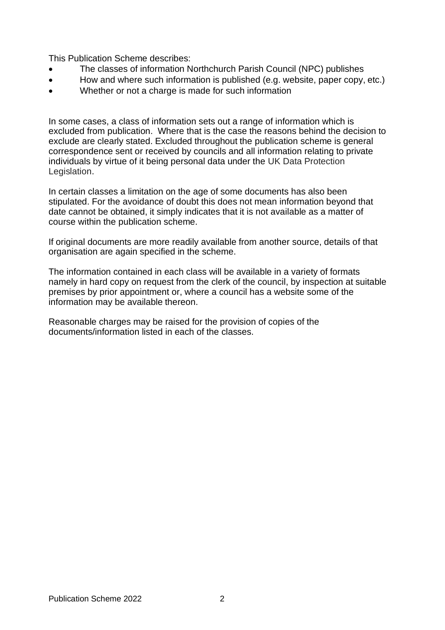This Publication Scheme describes:

- The classes of information Northchurch Parish Council (NPC) publishes
- How and where such information is published (e.g. website, paper copy, etc.)
- Whether or not a charge is made for such information

In some cases, a class of information sets out a range of information which is excluded from publication. Where that is the case the reasons behind the decision to exclude are clearly stated. Excluded throughout the publication scheme is general correspondence sent or received by councils and all information relating to private individuals by virtue of it being personal data under the UK Data Protection Legislation.

In certain classes a limitation on the age of some documents has also been stipulated. For the avoidance of doubt this does not mean information beyond that date cannot be obtained, it simply indicates that it is not available as a matter of course within the publication scheme.

If original documents are more readily available from another source, details of that organisation are again specified in the scheme.

The information contained in each class will be available in a variety of formats namely in hard copy on request from the clerk of the council, by inspection at suitable premises by prior appointment or, where a council has a website some of the information may be available thereon.

Reasonable charges may be raised for the provision of copies of the documents/information listed in each of the classes.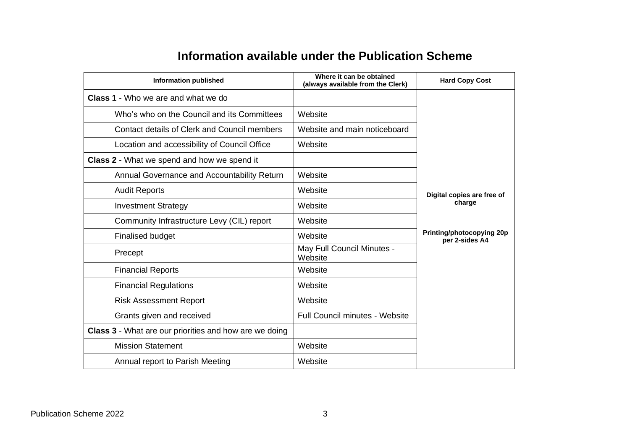## **Information available under the Publication Scheme**

| <b>Information published</b>                           | Where it can be obtained<br>(always available from the Clerk) | <b>Hard Copy Cost</b>                       |
|--------------------------------------------------------|---------------------------------------------------------------|---------------------------------------------|
| <b>Class 1</b> - Who we are and what we do             |                                                               |                                             |
| Who's who on the Council and its Committees            | Website                                                       |                                             |
| Contact details of Clerk and Council members           | Website and main noticeboard                                  |                                             |
| Location and accessibility of Council Office           | Website                                                       |                                             |
| <b>Class 2</b> - What we spend and how we spend it     |                                                               |                                             |
| Annual Governance and Accountability Return            | Website                                                       |                                             |
| <b>Audit Reports</b>                                   | Website                                                       | Digital copies are free of                  |
| <b>Investment Strategy</b>                             | Website                                                       | charge                                      |
| Community Infrastructure Levy (CIL) report             | Website                                                       |                                             |
| Finalised budget                                       | Website                                                       | Printing/photocopying 20p<br>per 2-sides A4 |
| Precept                                                | May Full Council Minutes -<br>Website                         |                                             |
| <b>Financial Reports</b>                               | Website                                                       |                                             |
| <b>Financial Regulations</b>                           | Website                                                       |                                             |
| <b>Risk Assessment Report</b>                          | Website                                                       |                                             |
| Grants given and received                              | <b>Full Council minutes - Website</b>                         |                                             |
| Class 3 - What are our priorities and how are we doing |                                                               |                                             |
| <b>Mission Statement</b>                               | Website                                                       |                                             |
| Annual report to Parish Meeting                        | Website                                                       |                                             |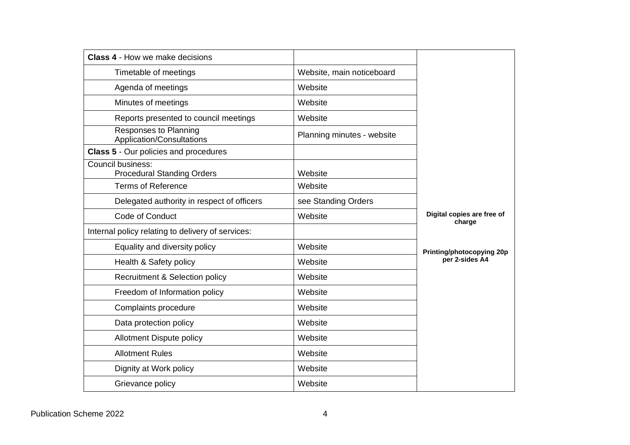| <b>Class 4 - How we make decisions</b>                 |                            |                                      |  |  |
|--------------------------------------------------------|----------------------------|--------------------------------------|--|--|
| Timetable of meetings                                  | Website, main noticeboard  |                                      |  |  |
| Agenda of meetings                                     | Website                    |                                      |  |  |
| Minutes of meetings                                    | Website                    |                                      |  |  |
| Reports presented to council meetings                  | Website                    |                                      |  |  |
| Responses to Planning<br>Application/Consultations     | Planning minutes - website |                                      |  |  |
| <b>Class 5 - Our policies and procedures</b>           |                            |                                      |  |  |
| Council business:<br><b>Procedural Standing Orders</b> | Website                    |                                      |  |  |
| <b>Terms of Reference</b>                              | Website                    |                                      |  |  |
| Delegated authority in respect of officers             | see Standing Orders        |                                      |  |  |
| Code of Conduct                                        | Website                    | Digital copies are free of<br>charge |  |  |
| Internal policy relating to delivery of services:      |                            |                                      |  |  |
| Equality and diversity policy                          | Website                    | <b>Printing/photocopying 20p</b>     |  |  |
| Health & Safety policy                                 | Website                    | per 2-sides A4                       |  |  |
| <b>Recruitment &amp; Selection policy</b>              | Website                    |                                      |  |  |
| Freedom of Information policy                          | Website                    |                                      |  |  |
| Complaints procedure                                   | Website                    |                                      |  |  |
| Data protection policy                                 | Website                    |                                      |  |  |
| <b>Allotment Dispute policy</b>                        | Website                    |                                      |  |  |
| <b>Allotment Rules</b>                                 | Website                    |                                      |  |  |
| Dignity at Work policy                                 | Website                    |                                      |  |  |
| Grievance policy                                       | Website                    |                                      |  |  |